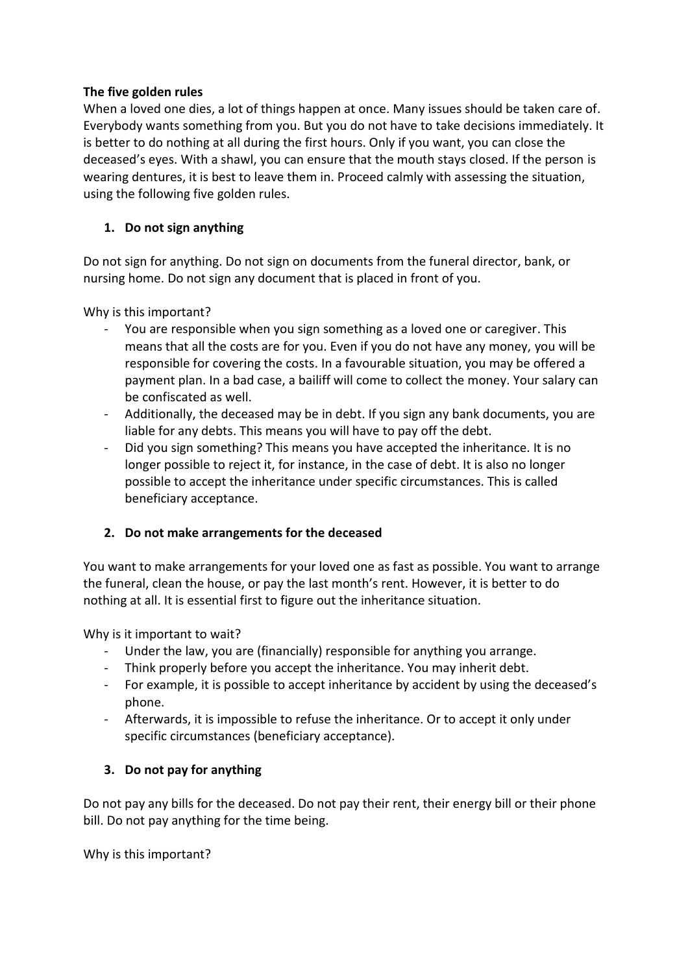# **The five golden rules**

When a loved one dies, a lot of things happen at once. Many issues should be taken care of. Everybody wants something from you. But you do not have to take decisions immediately. It is better to do nothing at all during the first hours. Only if you want, you can close the deceased's eyes. With a shawl, you can ensure that the mouth stays closed. If the person is wearing dentures, it is best to leave them in. Proceed calmly with assessing the situation, using the following five golden rules.

# **1. Do not sign anything**

Do not sign for anything. Do not sign on documents from the funeral director, bank, or nursing home. Do not sign any document that is placed in front of you.

Why is this important?

- You are responsible when you sign something as a loved one or caregiver. This means that all the costs are for you. Even if you do not have any money, you will be responsible for covering the costs. In a favourable situation, you may be offered a payment plan. In a bad case, a bailiff will come to collect the money. Your salary can be confiscated as well.
- Additionally, the deceased may be in debt. If you sign any bank documents, you are liable for any debts. This means you will have to pay off the debt.
- Did you sign something? This means you have accepted the inheritance. It is no longer possible to reject it, for instance, in the case of debt. It is also no longer possible to accept the inheritance under specific circumstances. This is called beneficiary acceptance.

# **2. Do not make arrangements for the deceased**

You want to make arrangements for your loved one as fast as possible. You want to arrange the funeral, clean the house, or pay the last month's rent. However, it is better to do nothing at all. It is essential first to figure out the inheritance situation.

Why is it important to wait?

- Under the law, you are (financially) responsible for anything you arrange.
- Think properly before you accept the inheritance. You may inherit debt.
- For example, it is possible to accept inheritance by accident by using the deceased's phone.
- Afterwards, it is impossible to refuse the inheritance. Or to accept it only under specific circumstances (beneficiary acceptance).

# **3. Do not pay for anything**

Do not pay any bills for the deceased. Do not pay their rent, their energy bill or their phone bill. Do not pay anything for the time being.

Why is this important?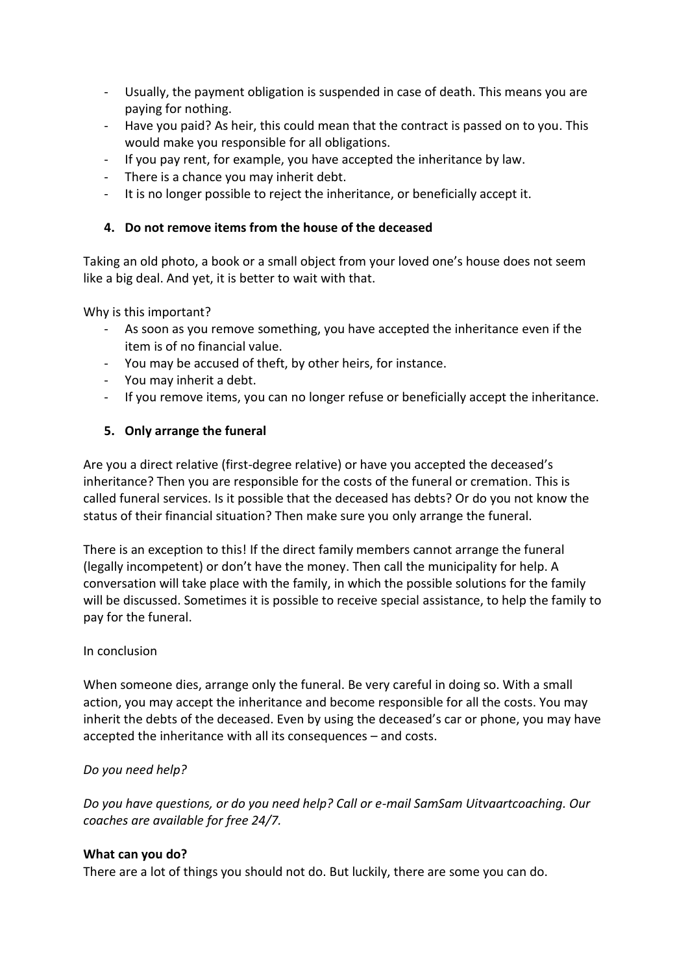- Usually, the payment obligation is suspended in case of death. This means you are paying for nothing.
- Have you paid? As heir, this could mean that the contract is passed on to you. This would make you responsible for all obligations.
- If you pay rent, for example, you have accepted the inheritance by law.
- There is a chance you may inherit debt.
- It is no longer possible to reject the inheritance, or beneficially accept it.

# **4. Do not remove items from the house of the deceased**

Taking an old photo, a book or a small object from your loved one's house does not seem like a big deal. And yet, it is better to wait with that.

Why is this important?

- As soon as you remove something, you have accepted the inheritance even if the item is of no financial value.
- You may be accused of theft, by other heirs, for instance.
- You may inherit a debt.
- If you remove items, you can no longer refuse or beneficially accept the inheritance.

# **5. Only arrange the funeral**

Are you a direct relative (first-degree relative) or have you accepted the deceased's inheritance? Then you are responsible for the costs of the funeral or cremation. This is called funeral services. Is it possible that the deceased has debts? Or do you not know the status of their financial situation? Then make sure you only arrange the funeral.

There is an exception to this! If the direct family members cannot arrange the funeral (legally incompetent) or don't have the money. Then call the municipality for help. A conversation will take place with the family, in which the possible solutions for the family will be discussed. Sometimes it is possible to receive special assistance, to help the family to pay for the funeral.

#### In conclusion

When someone dies, arrange only the funeral. Be very careful in doing so. With a small action, you may accept the inheritance and become responsible for all the costs. You may inherit the debts of the deceased. Even by using the deceased's car or phone, you may have accepted the inheritance with all its consequences – and costs.

# *Do you need help?*

*Do you have questions, or do you need help? Call or e-mail SamSam Uitvaartcoaching. Our coaches are available for free 24/7.*

#### **What can you do?**

There are a lot of things you should not do. But luckily, there are some you can do.